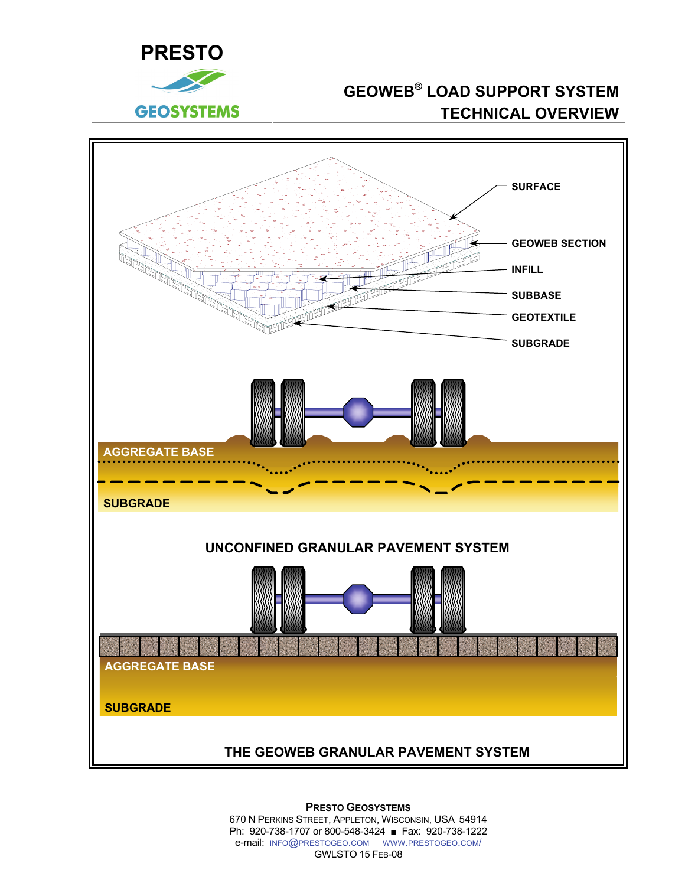



**PRESTO GEOSYSTEMS** 670 N PERKINS STREET, APPLETON, WISCONSIN, USA 54914 Ph: 920-738-1707 or 800-548-3424 ■ Fax: 920-738-1222 e-mail: INFO@PRESTOGEO.COM WWW.PRESTOGEO.COM/ GWLSTO 15 FEB-08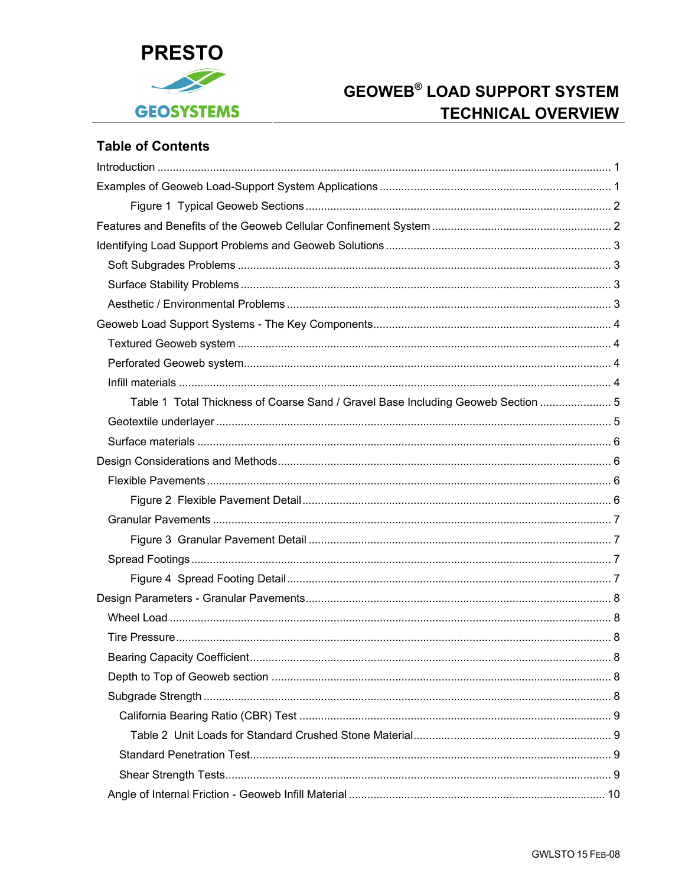

## **Table of Contents**

| Table 1 Total Thickness of Coarse Sand / Gravel Base Including Geoweb Section  5 |  |
|----------------------------------------------------------------------------------|--|
|                                                                                  |  |
|                                                                                  |  |
|                                                                                  |  |
|                                                                                  |  |
|                                                                                  |  |
|                                                                                  |  |
|                                                                                  |  |
|                                                                                  |  |
|                                                                                  |  |
|                                                                                  |  |
|                                                                                  |  |
|                                                                                  |  |
|                                                                                  |  |
|                                                                                  |  |
|                                                                                  |  |
|                                                                                  |  |
|                                                                                  |  |
|                                                                                  |  |
|                                                                                  |  |
|                                                                                  |  |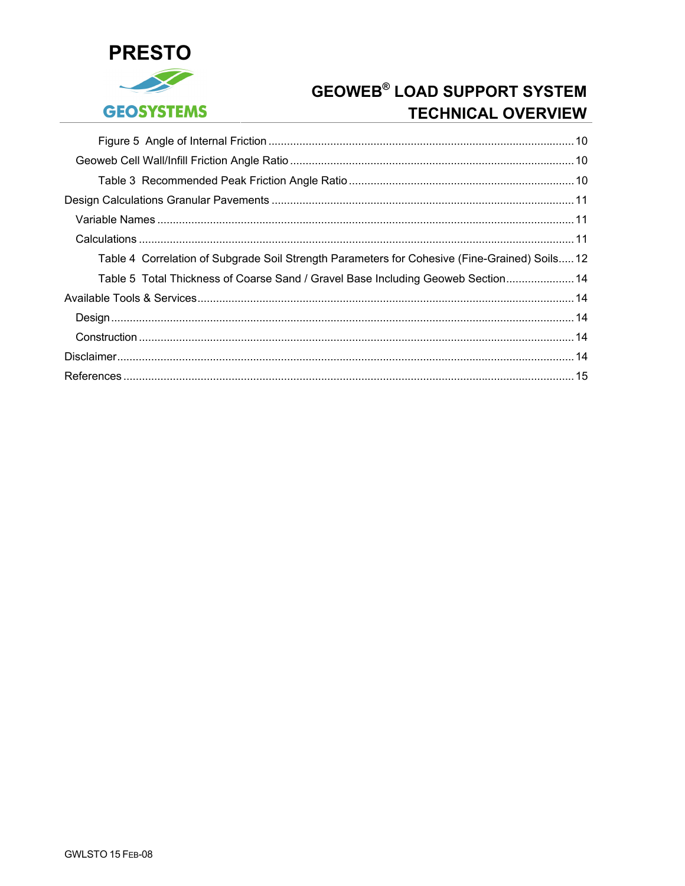

| Table 4 Correlation of Subgrade Soil Strength Parameters for Cohesive (Fine-Grained) Soils12 |  |
|----------------------------------------------------------------------------------------------|--|
| Table 5 Total Thickness of Coarse Sand / Gravel Base Including Geoweb Section 14             |  |
|                                                                                              |  |
|                                                                                              |  |
|                                                                                              |  |
|                                                                                              |  |
|                                                                                              |  |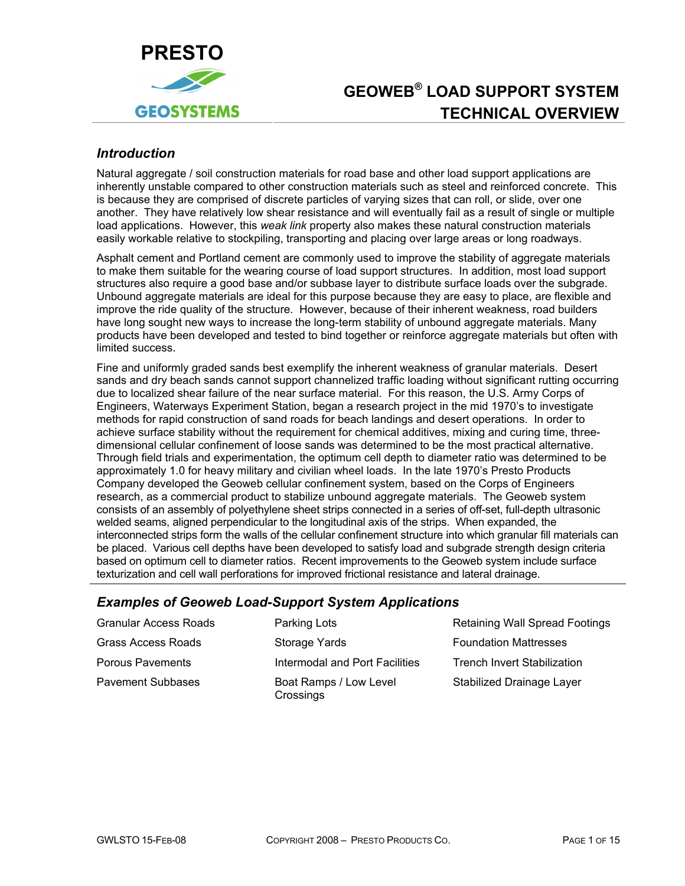<span id="page-4-0"></span>

## *Introduction*

Natural aggregate / soil construction materials for road base and other load support applications are inherently unstable compared to other construction materials such as steel and reinforced concrete. This is because they are comprised of discrete particles of varying sizes that can roll, or slide, over one another. They have relatively low shear resistance and will eventually fail as a result of single or multiple load applications. However, this *weak link* property also makes these natural construction materials easily workable relative to stockpiling, transporting and placing over large areas or long roadways.

Asphalt cement and Portland cement are commonly used to improve the stability of aggregate materials to make them suitable for the wearing course of load support structures. In addition, most load support structures also require a good base and/or subbase layer to distribute surface loads over the subgrade. Unbound aggregate materials are ideal for this purpose because they are easy to place, are flexible and improve the ride quality of the structure. However, because of their inherent weakness, road builders have long sought new ways to increase the long-term stability of unbound aggregate materials. Many products have been developed and tested to bind together or reinforce aggregate materials but often with limited success.

Fine and uniformly graded sands best exemplify the inherent weakness of granular materials. Desert sands and dry beach sands cannot support channelized traffic loading without significant rutting occurring due to localized shear failure of the near surface material. For this reason, the U.S. Army Corps of Engineers, Waterways Experiment Station, began a research project in the mid 1970's to investigate methods for rapid construction of sand roads for beach landings and desert operations. In order to achieve surface stability without the requirement for chemical additives, mixing and curing time, threedimensional cellular confinement of loose sands was determined to be the most practical alternative. Through field trials and experimentation, the optimum cell depth to diameter ratio was determined to be approximately 1.0 for heavy military and civilian wheel loads. In the late 1970's Presto Products Company developed the Geoweb cellular confinement system, based on the Corps of Engineers research, as a commercial product to stabilize unbound aggregate materials. The Geoweb system consists of an assembly of polyethylene sheet strips connected in a series of off-set, full-depth ultrasonic welded seams, aligned perpendicular to the longitudinal axis of the strips. When expanded, the interconnected strips form the walls of the cellular confinement structure into which granular fill materials can be placed. Various cell depths have been developed to satisfy load and subgrade strength design criteria based on optimum cell to diameter ratios. Recent improvements to the Geoweb system include surface texturization and cell wall perforations for improved frictional resistance and lateral drainage.

### *Examples of Geoweb Load-Support System Applications*

| <b>Granular Access Roads</b> | Parking Lots                        | <b>Retaining Wall Spread Footings</b> |
|------------------------------|-------------------------------------|---------------------------------------|
| <b>Grass Access Roads</b>    | Storage Yards                       | <b>Foundation Mattresses</b>          |
| Porous Pavements             | Intermodal and Port Facilities      | <b>Trench Invert Stabilization</b>    |
| <b>Pavement Subbases</b>     | Boat Ramps / Low Level<br>Crossings | Stabilized Drainage Layer             |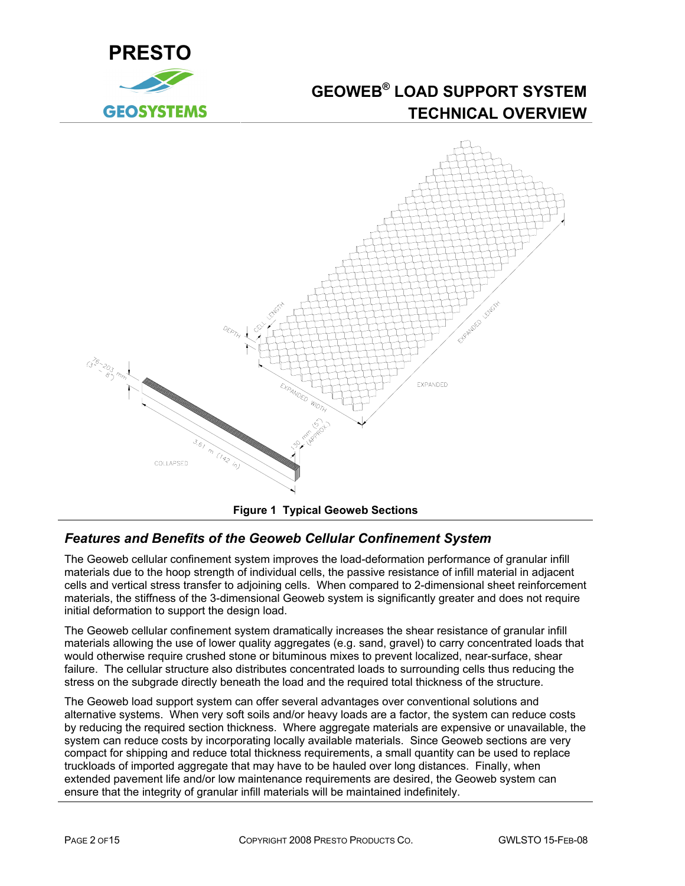<span id="page-5-0"></span>



## *Features and Benefits of the Geoweb Cellular Confinement System*

The Geoweb cellular confinement system improves the load-deformation performance of granular infill materials due to the hoop strength of individual cells, the passive resistance of infill material in adjacent cells and vertical stress transfer to adjoining cells. When compared to 2-dimensional sheet reinforcement materials, the stiffness of the 3-dimensional Geoweb system is significantly greater and does not require initial deformation to support the design load.

The Geoweb cellular confinement system dramatically increases the shear resistance of granular infill materials allowing the use of lower quality aggregates (e.g. sand, gravel) to carry concentrated loads that would otherwise require crushed stone or bituminous mixes to prevent localized, near-surface, shear failure. The cellular structure also distributes concentrated loads to surrounding cells thus reducing the stress on the subgrade directly beneath the load and the required total thickness of the structure.

The Geoweb load support system can offer several advantages over conventional solutions and alternative systems. When very soft soils and/or heavy loads are a factor, the system can reduce costs by reducing the required section thickness. Where aggregate materials are expensive or unavailable, the system can reduce costs by incorporating locally available materials. Since Geoweb sections are very compact for shipping and reduce total thickness requirements, a small quantity can be used to replace truckloads of imported aggregate that may have to be hauled over long distances. Finally, when extended pavement life and/or low maintenance requirements are desired, the Geoweb system can ensure that the integrity of granular infill materials will be maintained indefinitely.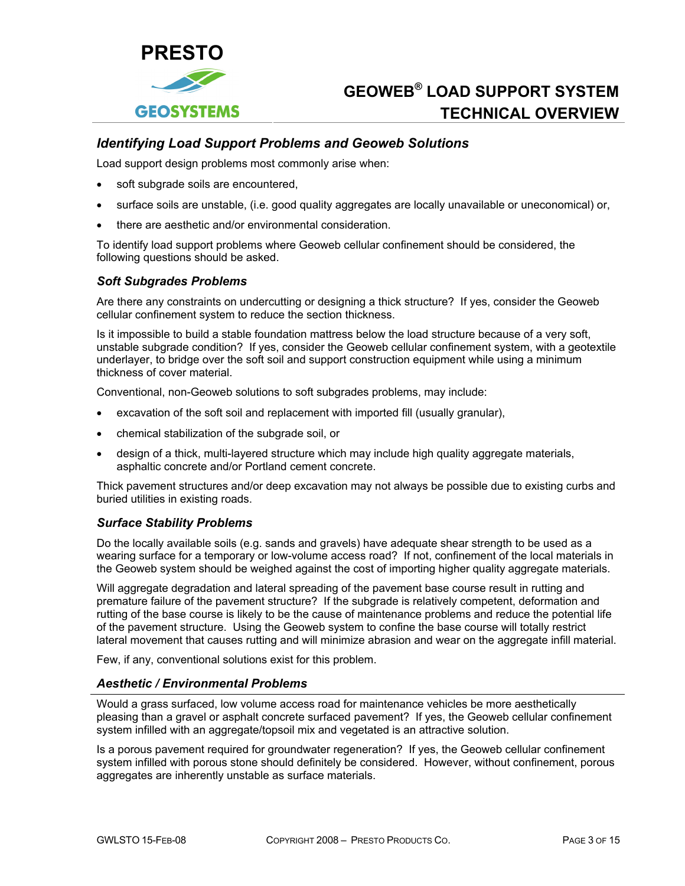<span id="page-6-0"></span>

### *Identifying Load Support Problems and Geoweb Solutions*

Load support design problems most commonly arise when:

- soft subgrade soils are encountered,
- surface soils are unstable, (i.e. good quality aggregates are locally unavailable or uneconomical) or,
- there are aesthetic and/or environmental consideration.

To identify load support problems where Geoweb cellular confinement should be considered, the following questions should be asked.

#### *Soft Subgrades Problems*

Are there any constraints on undercutting or designing a thick structure? If yes, consider the Geoweb cellular confinement system to reduce the section thickness.

Is it impossible to build a stable foundation mattress below the load structure because of a very soft, unstable subgrade condition? If yes, consider the Geoweb cellular confinement system, with a geotextile underlayer, to bridge over the soft soil and support construction equipment while using a minimum thickness of cover material.

Conventional, non-Geoweb solutions to soft subgrades problems, may include:

- excavation of the soft soil and replacement with imported fill (usually granular),
- chemical stabilization of the subgrade soil, or
- design of a thick, multi-layered structure which may include high quality aggregate materials, asphaltic concrete and/or Portland cement concrete.

Thick pavement structures and/or deep excavation may not always be possible due to existing curbs and buried utilities in existing roads.

#### *Surface Stability Problems*

Do the locally available soils (e.g. sands and gravels) have adequate shear strength to be used as a wearing surface for a temporary or low-volume access road? If not, confinement of the local materials in the Geoweb system should be weighed against the cost of importing higher quality aggregate materials.

Will aggregate degradation and lateral spreading of the pavement base course result in rutting and premature failure of the pavement structure? If the subgrade is relatively competent, deformation and rutting of the base course is likely to be the cause of maintenance problems and reduce the potential life of the pavement structure. Using the Geoweb system to confine the base course will totally restrict lateral movement that causes rutting and will minimize abrasion and wear on the aggregate infill material.

Few, if any, conventional solutions exist for this problem.

#### *Aesthetic / Environmental Problems*

Would a grass surfaced, low volume access road for maintenance vehicles be more aesthetically pleasing than a gravel or asphalt concrete surfaced pavement? If yes, the Geoweb cellular confinement system infilled with an aggregate/topsoil mix and vegetated is an attractive solution.

Is a porous pavement required for groundwater regeneration? If yes, the Geoweb cellular confinement system infilled with porous stone should definitely be considered. However, without confinement, porous aggregates are inherently unstable as surface materials.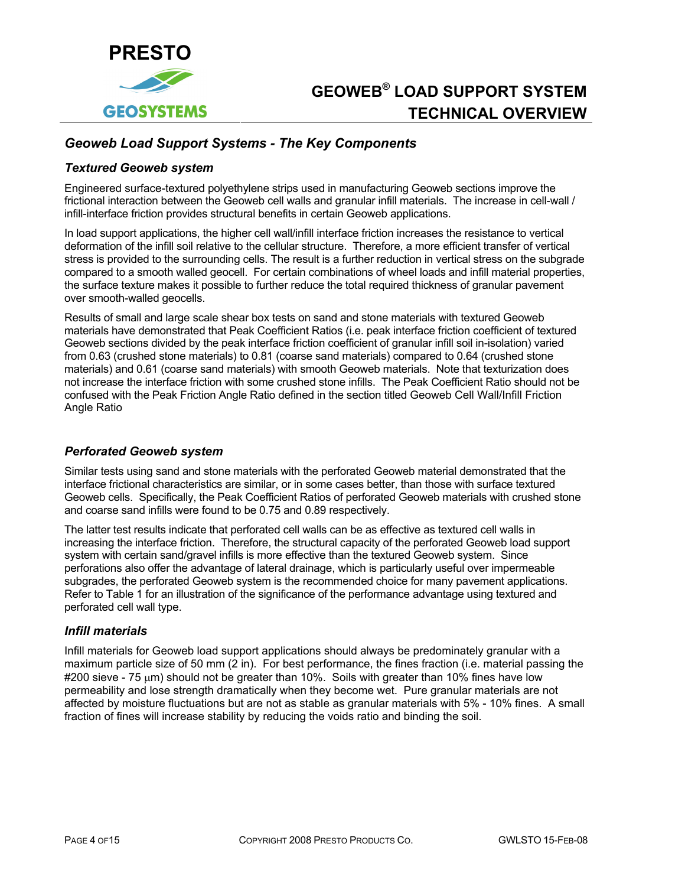<span id="page-7-0"></span>

## *Geoweb Load Support Systems - The Key Components*

#### *Textured Geoweb system*

Engineered surface-textured polyethylene strips used in manufacturing Geoweb sections improve the frictional interaction between the Geoweb cell walls and granular infill materials. The increase in cell-wall / infill-interface friction provides structural benefits in certain Geoweb applications.

In load support applications, the higher cell wall/infill interface friction increases the resistance to vertical deformation of the infill soil relative to the cellular structure. Therefore, a more efficient transfer of vertical stress is provided to the surrounding cells. The result is a further reduction in vertical stress on the subgrade compared to a smooth walled geocell. For certain combinations of wheel loads and infill material properties, the surface texture makes it possible to further reduce the total required thickness of granular pavement over smooth-walled geocells.

Results of small and large scale shear box tests on sand and stone materials with textured Geoweb materials have demonstrated that Peak Coefficient Ratios (i.e. peak interface friction coefficient of textured Geoweb sections divided by the peak interface friction coefficient of granular infill soil in-isolation) varied from 0.63 (crushed stone materials) to 0.81 (coarse sand materials) compared to 0.64 (crushed stone materials) and 0.61 (coarse sand materials) with smooth Geoweb materials. Note that texturization does not increase the interface friction with some crushed stone infills. The Peak Coefficient Ratio should not be confused with the Peak Friction Angle Ratio defined in the section titled [Geoweb Cell Wall/Infill Friction](#page-13-1)  [Angle Ratio](#page-13-1) 

### *Perforated Geoweb system*

Similar tests using sand and stone materials with the perforated Geoweb material demonstrated that the interface frictional characteristics are similar, or in some cases better, than those with surface textured Geoweb cells. Specifically, the Peak Coefficient Ratios of perforated Geoweb materials with crushed stone and coarse sand infills were found to be 0.75 and 0.89 respectively.

The latter test results indicate that perforated cell walls can be as effective as textured cell walls in increasing the interface friction. Therefore, the structural capacity of the perforated Geoweb load support system with certain sand/gravel infills is more effective than the textured Geoweb system. Since perforations also offer the advantage of lateral drainage, which is particularly useful over impermeable subgrades, the perforated Geoweb system is the recommended choice for many pavement applications. Refer to Table 1 for an illustration of the significance of the performance advantage using textured and perforated cell wall type.

### *Infill materials*

Infill materials for Geoweb load support applications should always be predominately granular with a maximum particle size of 50 mm (2 in). For best performance, the fines fraction (i.e. material passing the  $\#200$  sieve - 75  $\mu$ m) should not be greater than 10%. Soils with greater than 10% fines have low permeability and lose strength dramatically when they become wet. Pure granular materials are not affected by moisture fluctuations but are not as stable as granular materials with 5% - 10% fines. A small fraction of fines will increase stability by reducing the voids ratio and binding the soil.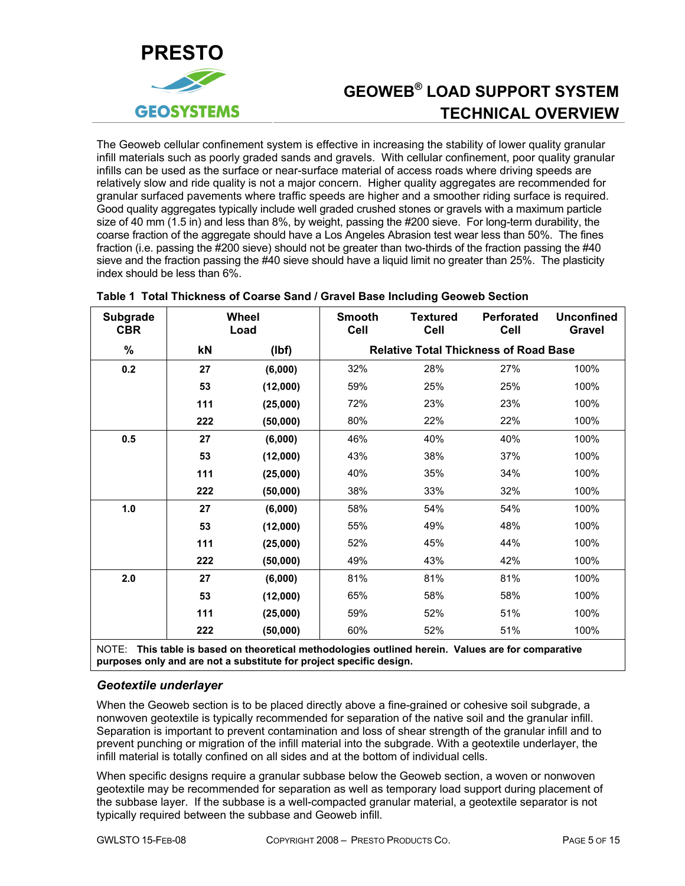<span id="page-8-0"></span>

The Geoweb cellular confinement system is effective in increasing the stability of lower quality granular infill materials such as poorly graded sands and gravels. With cellular confinement, poor quality granular infills can be used as the surface or near-surface material of access roads where driving speeds are relatively slow and ride quality is not a major concern. Higher quality aggregates are recommended for granular surfaced pavements where traffic speeds are higher and a smoother riding surface is required. Good quality aggregates typically include well graded crushed stones or gravels with a maximum particle size of 40 mm (1.5 in) and less than 8%, by weight, passing the #200 sieve. For long-term durability, the coarse fraction of the aggregate should have a Los Angeles Abrasion test wear less than 50%. The fines fraction (i.e. passing the #200 sieve) should not be greater than two-thirds of the fraction passing the #40 sieve and the fraction passing the #40 sieve should have a liquid limit no greater than 25%. The plasticity index should be less than 6%.

| <b>Subgrade</b><br><b>CBR</b> | Wheel<br>Load |          | <b>Smooth</b><br>Cell                        | <b>Textured</b><br>Cell | <b>Perforated</b><br><b>Cell</b> | <b>Unconfined</b><br><b>Gravel</b> |  |  |
|-------------------------------|---------------|----------|----------------------------------------------|-------------------------|----------------------------------|------------------------------------|--|--|
| %                             | kN            | (Ibf)    | <b>Relative Total Thickness of Road Base</b> |                         |                                  |                                    |  |  |
| 0.2                           | 27            | (6,000)  | 32%                                          | 28%                     | 27%                              | 100%                               |  |  |
|                               | 53            | (12,000) | 59%                                          | 25%                     | 25%                              | 100%                               |  |  |
|                               | 111           | (25,000) | 72%                                          | 23%                     | 23%                              | 100%                               |  |  |
|                               | 222           | (50,000) | 80%                                          | 22%                     | 22%                              | 100%                               |  |  |
| 0.5                           | 27            | (6,000)  | 46%                                          | 40%                     | 40%                              | 100%                               |  |  |
|                               | 53            | (12,000) | 43%                                          | 38%                     | 37%                              | 100%                               |  |  |
|                               | 111           | (25,000) | 40%                                          | 35%                     | 34%                              | 100%                               |  |  |
|                               | 222           | (50,000) | 38%                                          | 33%                     | 32%                              | 100%                               |  |  |
| 1.0                           | 27            | (6,000)  | 58%                                          | 54%                     | 54%                              | 100%                               |  |  |
|                               | 53            | (12,000) | 55%                                          | 49%                     | 48%                              | 100%                               |  |  |
|                               | 111           | (25,000) | 52%                                          | 45%                     | 44%                              | 100%                               |  |  |
|                               | 222           | (50,000) | 49%                                          | 43%                     | 42%                              | 100%                               |  |  |
| 2.0                           | 27            | (6,000)  | 81%                                          | 81%                     | 81%                              | 100%                               |  |  |
|                               | 53            | (12,000) | 65%                                          | 58%                     | 58%                              | 100%                               |  |  |
|                               | 111           | (25,000) | 59%                                          | 52%                     | 51%                              | 100%                               |  |  |
| $\cdots$                      | 222           | (50,000) | 60%                                          | 52%                     | 51%                              | 100%                               |  |  |

### **Table 1 Total Thickness of Coarse Sand / Gravel Base Including Geoweb Section**

NOTE: **This table is based on theoretical methodologies outlined herein. Values are for comparative purposes only and are not a substitute for project specific design.**

### *Geotextile underlayer*

When the Geoweb section is to be placed directly above a fine-grained or cohesive soil subgrade, a nonwoven geotextile is typically recommended for separation of the native soil and the granular infill. Separation is important to prevent contamination and loss of shear strength of the granular infill and to prevent punching or migration of the infill material into the subgrade. With a geotextile underlayer, the infill material is totally confined on all sides and at the bottom of individual cells.

When specific designs require a granular subbase below the Geoweb section, a woven or nonwoven geotextile may be recommended for separation as well as temporary load support during placement of the subbase layer. If the subbase is a well-compacted granular material, a geotextile separator is not typically required between the subbase and Geoweb infill.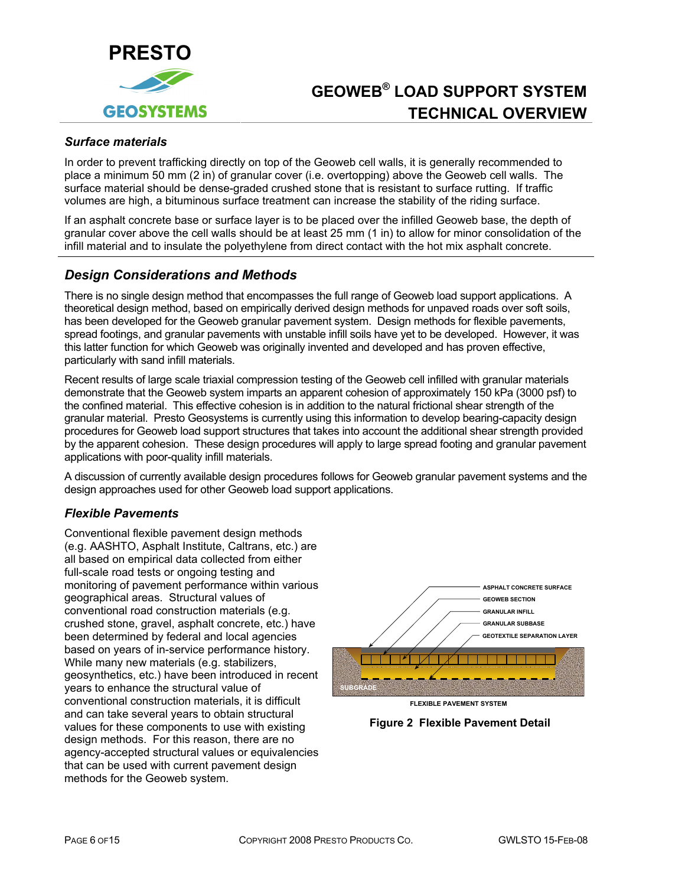<span id="page-9-0"></span>

### *Surface materials*

In order to prevent trafficking directly on top of the Geoweb cell walls, it is generally recommended to place a minimum 50 mm (2 in) of granular cover (i.e. overtopping) above the Geoweb cell walls. The surface material should be dense-graded crushed stone that is resistant to surface rutting. If traffic volumes are high, a bituminous surface treatment can increase the stability of the riding surface.

If an asphalt concrete base or surface layer is to be placed over the infilled Geoweb base, the depth of granular cover above the cell walls should be at least 25 mm (1 in) to allow for minor consolidation of the infill material and to insulate the polyethylene from direct contact with the hot mix asphalt concrete.

### *Design Considerations and Methods*

There is no single design method that encompasses the full range of Geoweb load support applications. A theoretical design method, based on empirically derived design methods for unpaved roads over soft soils, has been developed for the Geoweb granular pavement system. Design methods for flexible pavements, spread footings, and granular pavements with unstable infill soils have yet to be developed. However, it was this latter function for which Geoweb was originally invented and developed and has proven effective, particularly with sand infill materials.

Recent results of large scale triaxial compression testing of the Geoweb cell infilled with granular materials demonstrate that the Geoweb system imparts an apparent cohesion of approximately 150 kPa (3000 psf) to the confined material. This effective cohesion is in addition to the natural frictional shear strength of the granular material. Presto Geosystems is currently using this information to develop bearing-capacity design procedures for Geoweb load support structures that takes into account the additional shear strength provided by the apparent cohesion. These design procedures will apply to large spread footing and granular pavement applications with poor-quality infill materials.

A discussion of currently available design procedures follows for Geoweb granular pavement systems and the design approaches used for other Geoweb load support applications.

#### *Flexible Pavements*

Conventional flexible pavement design methods (e.g. AASHTO, Asphalt Institute, Caltrans, etc.) are all based on empirical data collected from either full-scale road tests or ongoing testing and monitoring of pavement performance within various geographical areas. Structural values of conventional road construction materials (e.g. crushed stone, gravel, asphalt concrete, etc.) have been determined by federal and local agencies based on years of in-service performance history. While many new materials (e.g. stabilizers, geosynthetics, etc.) have been introduced in recent years to enhance the structural value of conventional construction materials, it is difficult and can take several years to obtain structural values for these components to use with existing design methods. For this reason, there are no agency-accepted structural values or equivalencies that can be used with current pavement design methods for the Geoweb system.





**Figure 2 Flexible Pavement Detail**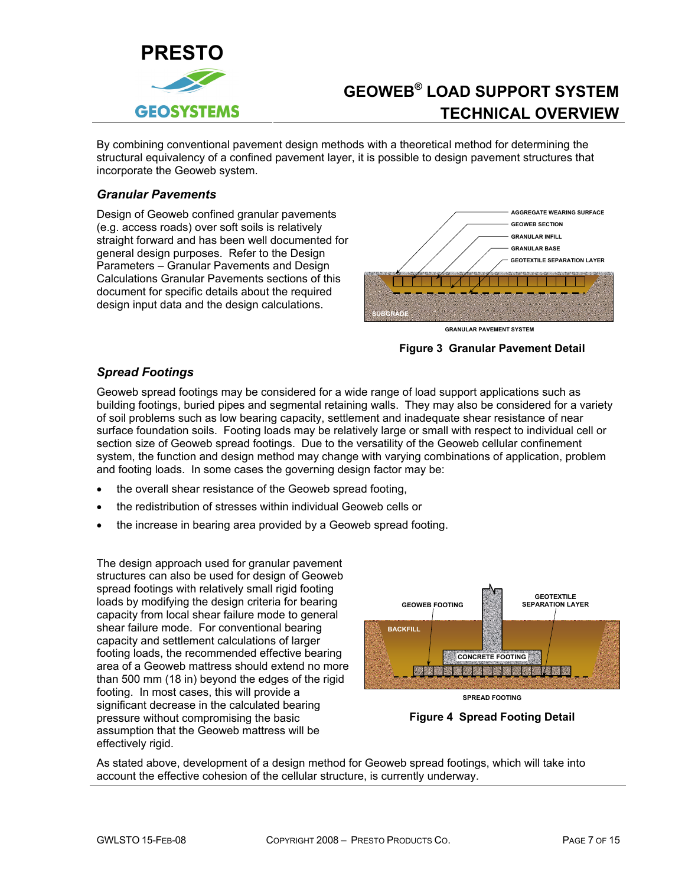<span id="page-10-0"></span>

By combining conventional pavement design methods with a theoretical method for determining the structural equivalency of a confined pavement layer, it is possible to design pavement structures that incorporate the Geoweb system.

### *Granular Pavements*

Design of Geoweb confined granular pavements (e.g. access roads) over soft soils is relatively straight forward and has been well documented for general design purposes. Refer to the Design Parameters – Granular Pavements and Design Calculations Granular Pavements sections of this document for specific details about the required design input data and the design calculations.



**Figure 3 Granular Pavement Detail** 

### *Spread Footings*

Geoweb spread footings may be considered for a wide range of load support applications such as building footings, buried pipes and segmental retaining walls. They may also be considered for a variety of soil problems such as low bearing capacity, settlement and inadequate shear resistance of near surface foundation soils. Footing loads may be relatively large or small with respect to individual cell or section size of Geoweb spread footings. Due to the versatility of the Geoweb cellular confinement system, the function and design method may change with varying combinations of application, problem and footing loads. In some cases the governing design factor may be:

- the overall shear resistance of the Geoweb spread footing,
- the redistribution of stresses within individual Geoweb cells or
- the increase in bearing area provided by a Geoweb spread footing.

The design approach used for granular pavement structures can also be used for design of Geoweb spread footings with relatively small rigid footing loads by modifying the design criteria for bearing capacity from local shear failure mode to general shear failure mode. For conventional bearing capacity and settlement calculations of larger footing loads, the recommended effective bearing area of a Geoweb mattress should extend no more than 500 mm (18 in) beyond the edges of the rigid footing. In most cases, this will provide a significant decrease in the calculated bearing pressure without compromising the basic assumption that the Geoweb mattress will be effectively rigid.



**SPREAD FOOTING**

**Figure 4 Spread Footing Detail** 

As stated above, development of a design method for Geoweb spread footings, which will take into account the effective cohesion of the cellular structure, is currently underway.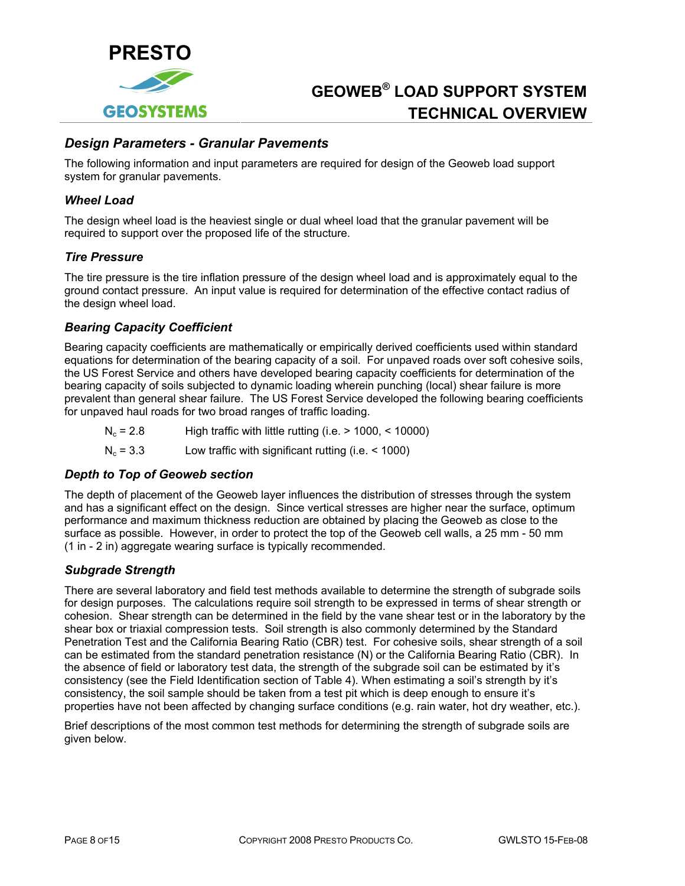<span id="page-11-0"></span>

### *Design Parameters - Granular Pavements*

The following information and input parameters are required for design of the Geoweb load support system for granular pavements.

#### *Wheel Load*

The design wheel load is the heaviest single or dual wheel load that the granular pavement will be required to support over the proposed life of the structure.

#### *Tire Pressure*

The tire pressure is the tire inflation pressure of the design wheel load and is approximately equal to the ground contact pressure. An input value is required for determination of the effective contact radius of the design wheel load.

#### *Bearing Capacity Coefficient*

Bearing capacity coefficients are mathematically or empirically derived coefficients used within standard equations for determination of the bearing capacity of a soil. For unpaved roads over soft cohesive soils, the US Forest Service and others have developed bearing capacity coefficients for determination of the bearing capacity of soils subjected to dynamic loading wherein punching (local) shear failure is more prevalent than general shear failure. The US Forest Service developed the following bearing coefficients for unpaved haul roads for two broad ranges of traffic loading.

 $N_c = 2.8$  High traffic with little rutting (i.e.  $> 1000$ ,  $< 10000$ )

 $N_c = 3.3$  Low traffic with significant rutting (i.e.  $\leq 1000$ )

#### *Depth to Top of Geoweb section*

The depth of placement of the Geoweb layer influences the distribution of stresses through the system and has a significant effect on the design. Since vertical stresses are higher near the surface, optimum performance and maximum thickness reduction are obtained by placing the Geoweb as close to the surface as possible. However, in order to protect the top of the Geoweb cell walls, a 25 mm - 50 mm (1 in - 2 in) aggregate wearing surface is typically recommended.

### *Subgrade Strength*

There are several laboratory and field test methods available to determine the strength of subgrade soils for design purposes. The calculations require soil strength to be expressed in terms of shear strength or cohesion. Shear strength can be determined in the field by the vane shear test or in the laboratory by the shear box or triaxial compression tests. Soil strength is also commonly determined by the Standard Penetration Test and the California Bearing Ratio (CBR) test. For cohesive soils, shear strength of a soil can be estimated from the standard penetration resistance (N) or the California Bearing Ratio (CBR). In the absence of field or laboratory test data, the strength of the subgrade soil can be estimated by it's consistency (see the Field Identification section of Table 4). When estimating a soil's strength by it's consistency, the soil sample should be taken from a test pit which is deep enough to ensure it's properties have not been affected by changing surface conditions (e.g. rain water, hot dry weather, etc.).

Brief descriptions of the most common test methods for determining the strength of subgrade soils are given below.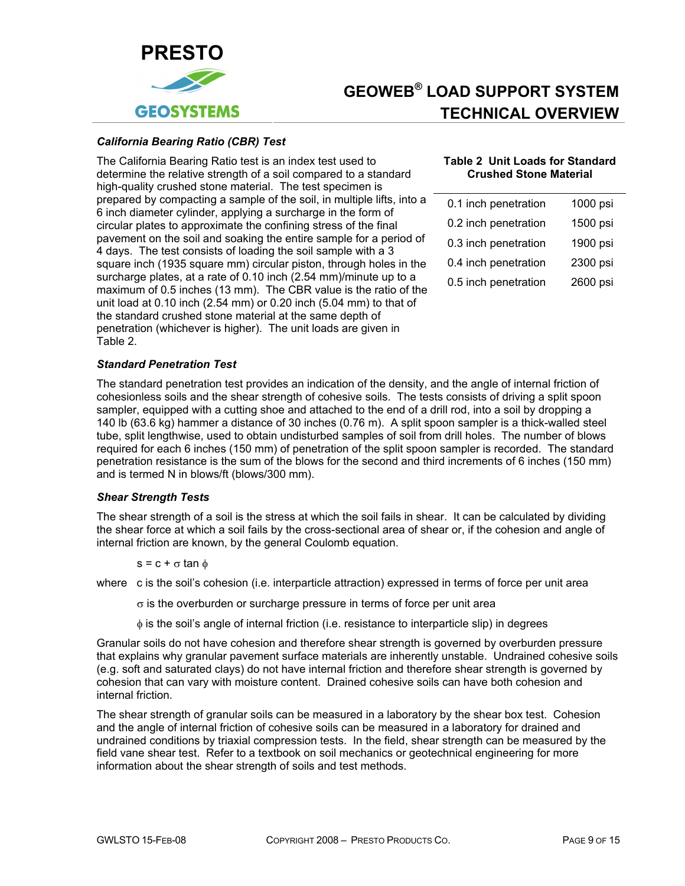<span id="page-12-0"></span>

#### *California Bearing Ratio (CBR) Test*

<span id="page-12-1"></span>The California Bearing Ratio test is an index test used to determine the relative strength of a soil compared to a standard high-quality crushed stone material. The test specimen is prepared by compacting a sample of the soil, in multiple lifts, into a 6 inch diameter cylinder, applying a surcharge in the form of circular plates to approximate the confining stress of the final pavement on the soil and soaking the entire sample for a period of 4 days. The test consists of loading the soil sample with a 3 square inch (1935 square mm) circular piston, through holes in the surcharge plates, at a rate of 0.10 inch (2.54 mm)/minute up to a maximum of 0.5 inches (13 mm). The CBR value is the ratio of the unit load at 0.10 inch (2.54 mm) or 0.20 inch (5.04 mm) to that of the standard crushed stone material at the same depth of penetration (whichever is higher). The unit loads are given in [Table 2.](#page-12-1)

#### **Table 2 Unit Loads for Standard Crushed Stone Material**

| 0.1 inch penetration | 1000 psi |
|----------------------|----------|
| 0.2 inch penetration | 1500 psi |
| 0.3 inch penetration | 1900 psi |
| 0.4 inch penetration | 2300 psi |
| 0.5 inch penetration | 2600 psi |

#### *Standard Penetration Test*

The standard penetration test provides an indication of the density, and the angle of internal friction of cohesionless soils and the shear strength of cohesive soils. The tests consists of driving a split spoon sampler, equipped with a cutting shoe and attached to the end of a drill rod, into a soil by dropping a 140 lb (63.6 kg) hammer a distance of 30 inches (0.76 m). A split spoon sampler is a thick-walled steel tube, split lengthwise, used to obtain undisturbed samples of soil from drill holes. The number of blows required for each 6 inches (150 mm) of penetration of the split spoon sampler is recorded. The standard penetration resistance is the sum of the blows for the second and third increments of 6 inches (150 mm) and is termed N in blows/ft (blows/300 mm).

### *Shear Strength Tests*

The shear strength of a soil is the stress at which the soil fails in shear. It can be calculated by dividing the shear force at which a soil fails by the cross-sectional area of shear or, if the cohesion and angle of internal friction are known, by the general Coulomb equation.

 $s = c + \sigma \tan \phi$ 

where c is the soil's cohesion (i.e. interparticle attraction) expressed in terms of force per unit area

- $\sigma$  is the overburden or surcharge pressure in terms of force per unit area
- φ is the soil's angle of internal friction (i.e. resistance to interparticle slip) in degrees

Granular soils do not have cohesion and therefore shear strength is governed by overburden pressure that explains why granular pavement surface materials are inherently unstable. Undrained cohesive soils (e.g. soft and saturated clays) do not have internal friction and therefore shear strength is governed by cohesion that can vary with moisture content. Drained cohesive soils can have both cohesion and internal friction.

The shear strength of granular soils can be measured in a laboratory by the shear box test. Cohesion and the angle of internal friction of cohesive soils can be measured in a laboratory for drained and undrained conditions by triaxial compression tests. In the field, shear strength can be measured by the field vane shear test. Refer to a textbook on soil mechanics or geotechnical engineering for more information about the shear strength of soils and test methods.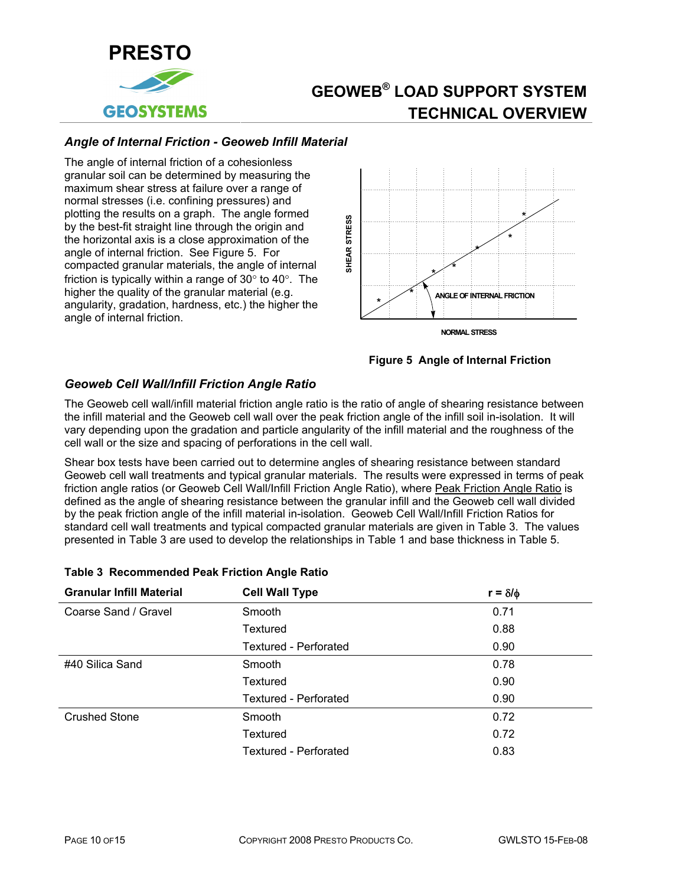<span id="page-13-0"></span>

### *Angle of Internal Friction - Geoweb Infill Material*

The angle of internal friction of a cohesionless granular soil can be determined by measuring the maximum shear stress at failure over a range of normal stresses (i.e. confining pressures) and plotting the results on a graph. The angle formed by the best-fit straight line through the origin and the horizontal axis is a close approximation of the angle of internal friction. See [Figure 5.](#page-13-2) For compacted granular materials, the angle of internal friction is typically within a range of 30° to 40°. The higher the quality of the granular material (e.g. angularity, gradation, hardness, etc.) the higher the angle of internal friction.



## **Figure 5 Angle of Internal Friction**

### <span id="page-13-2"></span><span id="page-13-1"></span>*Geoweb Cell Wall/Infill Friction Angle Ratio*

The Geoweb cell wall/infill material friction angle ratio is the ratio of angle of shearing resistance between the infill material and the Geoweb cell wall over the peak friction angle of the infill soil in-isolation. It will vary depending upon the gradation and particle angularity of the infill material and the roughness of the cell wall or the size and spacing of perforations in the cell wall.

Shear box tests have been carried out to determine angles of shearing resistance between standard Geoweb cell wall treatments and typical granular materials. The results were expressed in terms of peak friction angle ratios (or Geoweb Cell Wall/Infill Friction Angle Ratio), where Peak Friction Angle Ratio is defined as the angle of shearing resistance between the granular infill and the Geoweb cell wall divided by the peak friction angle of the infill material in-isolation. Geoweb Cell Wall/Infill Friction Ratios for standard cell wall treatments and typical compacted granular materials are given in Table 3. The values presented in Table 3 are used to develop the relationships in Table 1 and base thickness in Table 5.

| <b>Granular Infill Material</b> | <b>Cell Wall Type</b>        | $r = \delta/\phi$ |
|---------------------------------|------------------------------|-------------------|
| Coarse Sand / Gravel            | Smooth                       | 0.71              |
|                                 | Textured                     | 0.88              |
|                                 | <b>Textured - Perforated</b> | 0.90              |
| #40 Silica Sand                 | Smooth                       | 0.78              |
|                                 | Textured                     | 0.90              |
|                                 | <b>Textured - Perforated</b> | 0.90              |
| <b>Crushed Stone</b>            | Smooth                       | 0.72              |
|                                 | Textured                     | 0.72              |
|                                 | Textured - Perforated        | 0.83              |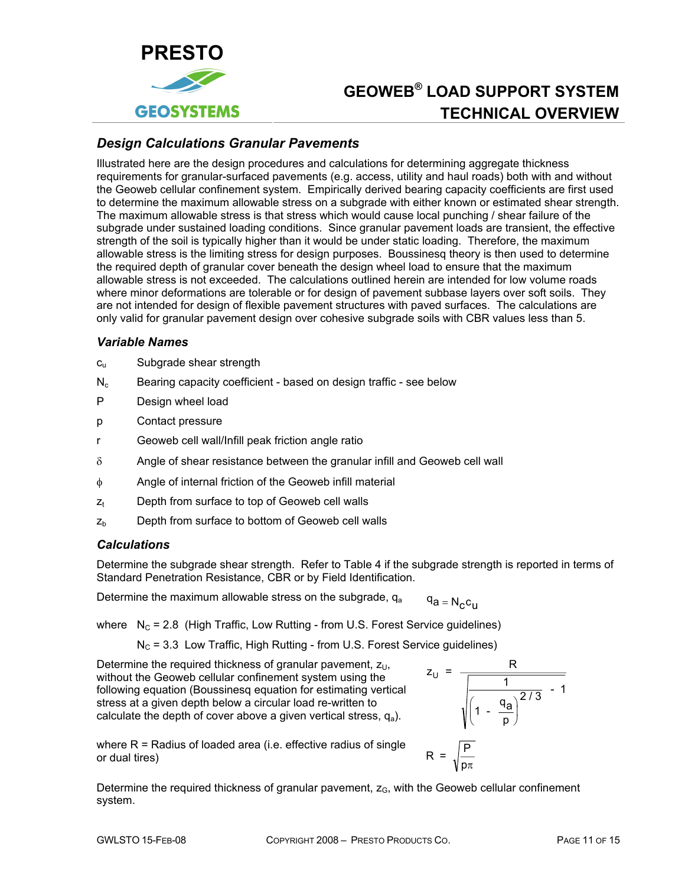<span id="page-14-0"></span>

## *Design Calculations Granular Pavements*

Illustrated here are the design procedures and calculations for determining aggregate thickness requirements for granular-surfaced pavements (e.g. access, utility and haul roads) both with and without the Geoweb cellular confinement system. Empirically derived bearing capacity coefficients are first used to determine the maximum allowable stress on a subgrade with either known or estimated shear strength. The maximum allowable stress is that stress which would cause local punching / shear failure of the subgrade under sustained loading conditions. Since granular pavement loads are transient, the effective strength of the soil is typically higher than it would be under static loading. Therefore, the maximum allowable stress is the limiting stress for design purposes. Boussinesq theory is then used to determine the required depth of granular cover beneath the design wheel load to ensure that the maximum allowable stress is not exceeded. The calculations outlined herein are intended for low volume roads where minor deformations are tolerable or for design of pavement subbase layers over soft soils. They are not intended for design of flexible pavement structures with paved surfaces. The calculations are only valid for granular pavement design over cohesive subgrade soils with CBR values less than 5.

#### *Variable Names*

- c<sub>u</sub> Subgrade shear strength
- $N_c$  Bearing capacity coefficient based on design traffic see below
- P Design wheel load
- p Contact pressure
- r Geoweb cell wall/Infill peak friction angle ratio
- $\delta$  Angle of shear resistance between the granular infill and Geoweb cell wall
- φ Angle of internal friction of the Geoweb infill material
- $z<sub>t</sub>$  Depth from surface to top of Geoweb cell walls
- $z<sub>b</sub>$  Depth from surface to bottom of Geoweb cell walls

### *Calculations*

Determine the subgrade shear strength. Refer to Table 4 if the subgrade strength is reported in terms of Standard Penetration Resistance, CBR or by Field Identification.

Determine the maximum allowable stress on the subgrade,  $q_a$   $q_a = N_c c_{11}$ 

where  $N_c = 2.8$  (High Traffic, Low Rutting - from U.S. Forest Service guidelines)

 $N_c$  = 3.3 Low Traffic, High Rutting - from U.S. Forest Service guidelines)

Determine the required thickness of granular pavement,  $z_{11}$ , without the Geoweb cellular confinement system using the following equation (Boussinesq equation for estimating vertical stress at a given depth below a circular load re-written to calculate the depth of cover above a given vertical stress,  $q_a$ ).



where R = Radius of loaded area (i.e. effective radius of single  $R = \sqrt{\frac{P}{n}}$ 

Determine the required thickness of granular pavement,  $z<sub>G</sub>$ , with the Geoweb cellular confinement system.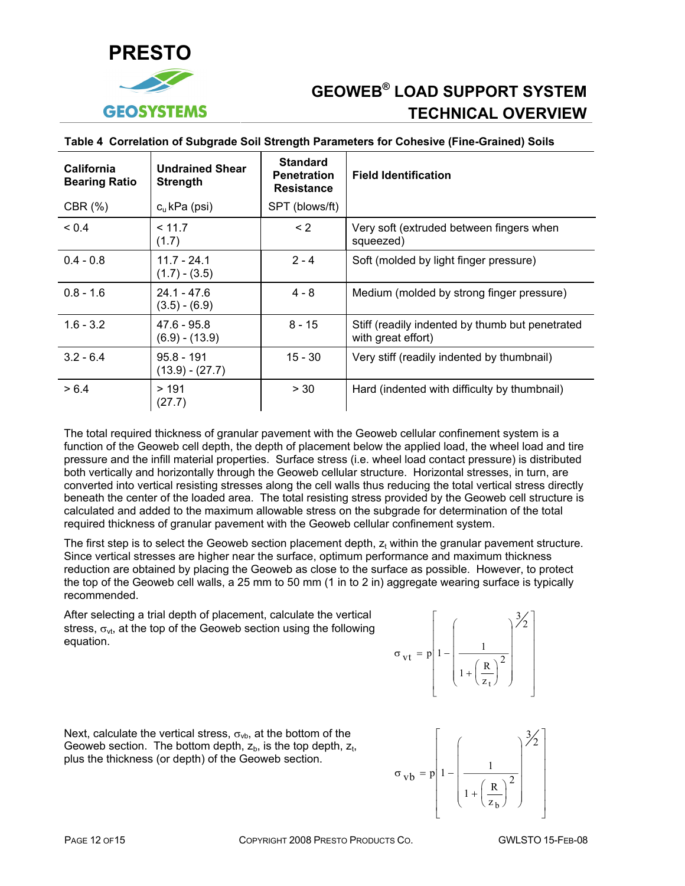<span id="page-15-0"></span>

| <b>California</b><br><b>Bearing Ratio</b> | <b>Undrained Shear</b><br><b>Strength</b> | <b>Standard</b><br><b>Penetration</b><br><b>Resistance</b> | <b>Field Identification</b>                                           |
|-------------------------------------------|-------------------------------------------|------------------------------------------------------------|-----------------------------------------------------------------------|
| CBR $(\%)$                                | $cu$ kPa (psi)                            | SPT (blows/ft)                                             |                                                                       |
| ${}_{0.4}$                                | < 11.7<br>(1.7)                           | $\leq$ 2                                                   | Very soft (extruded between fingers when<br>squeezed)                 |
| $0.4 - 0.8$                               | $11.7 - 24.1$<br>$(1.7) - (3.5)$          | $2 - 4$                                                    | Soft (molded by light finger pressure)                                |
| $0.8 - 1.6$                               | $24.1 - 47.6$<br>$(3.5) - (6.9)$          | $4 - 8$                                                    | Medium (molded by strong finger pressure)                             |
| $1.6 - 3.2$                               | $47.6 - 95.8$<br>$(6.9) - (13.9)$         | $8 - 15$                                                   | Stiff (readily indented by thumb but penetrated<br>with great effort) |
| $3.2 - 6.4$                               | $95.8 - 191$<br>$(13.9) - (27.7)$         | $15 - 30$                                                  | Very stiff (readily indented by thumbnail)                            |
| > 6.4                                     | >191<br>(27.7)                            | > 30                                                       | Hard (indented with difficulty by thumbnail)                          |

#### **Table 4 Correlation of Subgrade Soil Strength Parameters for Cohesive (Fine-Grained) Soils**

The total required thickness of granular pavement with the Geoweb cellular confinement system is a function of the Geoweb cell depth, the depth of placement below the applied load, the wheel load and tire pressure and the infill material properties. Surface stress (i.e. wheel load contact pressure) is distributed both vertically and horizontally through the Geoweb cellular structure. Horizontal stresses, in turn, are converted into vertical resisting stresses along the cell walls thus reducing the total vertical stress directly beneath the center of the loaded area. The total resisting stress provided by the Geoweb cell structure is calculated and added to the maximum allowable stress on the subgrade for determination of the total required thickness of granular pavement with the Geoweb cellular confinement system.

The first step is to select the Geoweb section placement depth,  $z<sub>t</sub>$  within the granular pavement structure. Since vertical stresses are higher near the surface, optimum performance and maximum thickness reduction are obtained by placing the Geoweb as close to the surface as possible. However, to protect the top of the Geoweb cell walls, a 25 mm to 50 mm (1 in to 2 in) aggregate wearing surface is typically recommended.

After selecting a trial depth of placement, calculate the vertical stress,  $\sigma_{\rm vt}$ , at the top of the Geoweb section using the following equation.



 $\sigma_{\text{vb}} = p \left| 1 - \left| \frac{1}{\sigma_{\text{cv}}} \right| \right|$  $1 + \left(\frac{R}{z_h}\right)$ 2 b  $=$  p| 1  $+$  $\left(\frac{R}{z_{b}}\right)$  $\big($ ⎝  $\overline{\phantom{a}}$  $\parallel$  $\parallel$  $\overline{\phantom{a}}$  $\parallel$ ⎞ ⎠  $\overline{\phantom{a}}$  $\overline{\phantom{a}}$  $\cdot$  $\overline{\phantom{a}}$  $\overline{\phantom{a}}$  $\mathsf{L}$ ⎣  $\mathsf{L}$  $\mathsf{L}$  $\mathsf{L}$  $\mathsf{L}$  $\mathsf{L}$  $\mathsf{L}$  $\mathbf{I}$ 

⎦

 $\frac{3}{2}$ 

⎤

⎥ ⎥ ⎥ ⎥ ⎥ ⎥  $\overline{\phantom{a}}$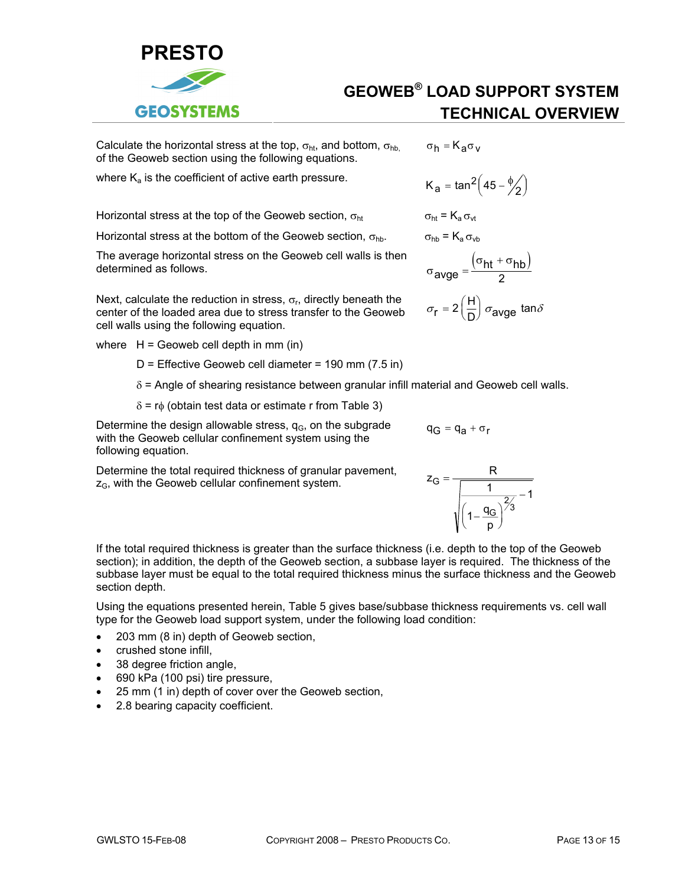

Calculate the horizontal stress at the top,  $\sigma_{\rm ht}$ , and bottom,  $\sigma_{\rm hb}$ of the Geoweb section using the following equations.

where  $K_a$  is the coefficient of active earth pressure.

Horizontal stress at the top of the Geoweb section,  $\sigma_{ht}$   $\sigma_{ht} = K_a \sigma_{vt}$ 

Horizontal stress at the bottom of the Geoweb section,  $\sigma_{hh}$ .

The average horizontal stress on the Geoweb cell walls is then<br>determined as follows. determined as follows.

Next, calculate the reduction in stress,  $\sigma_r$ , directly beneath the center of the loaded area due to stress transfer to the Geoweb cell walls using the following equation.

where  $H =$  Geoweb cell depth in mm (in)

 $D$  = Effective Geoweb cell diameter = 190 mm (7.5 in)

- $\delta$  = Angle of shearing resistance between granular infill material and Geoweb cell walls.
- $δ = rφ$  (obtain test data or estimate r from Table 3)

Determine the design allowable stress,  $q<sub>G</sub>$ , on the subgrade with the Geoweb cellular confinement system using the following equation.

Determine the total required thickness of granular pavement,  $z_{\rm G}$ , with the Geoweb cellular confinement system.<br> $z_{\rm G} = \frac{z_{\rm G}}{\sqrt{1-\frac{1}{z_{\rm G}^2}}\sqrt{1-\frac{1}{z_{\rm G}^2}}}$ 



 $q_G = q_a + \sigma_r$ 

If the total required thickness is greater than the surface thickness (i.e. depth to the top of the Geoweb section); in addition, the depth of the Geoweb section, a subbase layer is required. The thickness of the subbase layer must be equal to the total required thickness minus the surface thickness and the Geoweb section depth.

Using the equations presented herein, Table 5 gives base/subbase thickness requirements vs. cell wall type for the Geoweb load support system, under the following load condition:

- 203 mm (8 in) depth of Geoweb section,
- crushed stone infill,
- 38 degree friction angle,
- 690 kPa (100 psi) tire pressure,
- 25 mm (1 in) depth of cover over the Geoweb section,
- 2.8 bearing capacity coefficient.

$$
\sigma_h = K_a \sigma_v
$$

$$
K_{a} = \tan^{2}\left(45 - \frac{\phi}{2}\right)
$$

**GEOWEB® LOAD SUPPORT SYSTEM**

**TECHNICAL OVERVIEW**

$$
\sigma_{\text{hb}} = K_{\text{a}} \sigma_{\text{vb}}
$$

$$
\sigma_{\text{avge}} = \frac{\left(\sigma_{\text{ht}} + \sigma_{\text{hb}}\right)}{2}
$$

$$
\sigma_{\text{r}} = 2 \left( \frac{\text{H}}{\text{D}} \right) \sigma_{\text{avge}} \; \text{tan} \delta
$$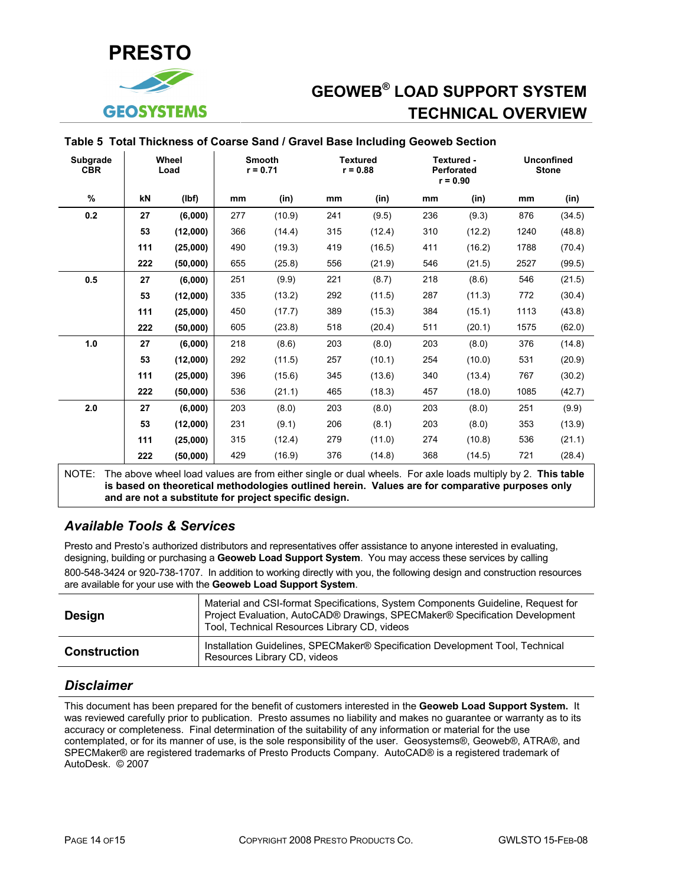<span id="page-17-0"></span>

#### **Table 5 Total Thickness of Coarse Sand / Gravel Base Including Geoweb Section**

| <b>Subgrade</b><br><b>CBR</b> |     | Wheel<br>Load |     | <b>Smooth</b><br>$r = 0.71$                                                                                 |     | <b>Textured</b><br>$r = 0.88$ |     | Textured -<br><b>Perforated</b><br>$r = 0.90$ | <b>Stone</b> | <b>Unconfined</b> |
|-------------------------------|-----|---------------|-----|-------------------------------------------------------------------------------------------------------------|-----|-------------------------------|-----|-----------------------------------------------|--------------|-------------------|
| %                             | kN  | (lbf)         | mm  | (in)                                                                                                        | mm  | (in)                          | mm  | (in)                                          | mm           | (in)              |
| 0.2                           | 27  | (6,000)       | 277 | (10.9)                                                                                                      | 241 | (9.5)                         | 236 | (9.3)                                         | 876          | (34.5)            |
|                               | 53  | (12,000)      | 366 | (14.4)                                                                                                      | 315 | (12.4)                        | 310 | (12.2)                                        | 1240         | (48.8)            |
|                               | 111 | (25,000)      | 490 | (19.3)                                                                                                      | 419 | (16.5)                        | 411 | (16.2)                                        | 1788         | (70.4)            |
|                               | 222 | (50,000)      | 655 | (25.8)                                                                                                      | 556 | (21.9)                        | 546 | (21.5)                                        | 2527         | (99.5)            |
| 0.5                           | 27  | (6,000)       | 251 | (9.9)                                                                                                       | 221 | (8.7)                         | 218 | (8.6)                                         | 546          | (21.5)            |
|                               | 53  | (12,000)      | 335 | (13.2)                                                                                                      | 292 | (11.5)                        | 287 | (11.3)                                        | 772          | (30.4)            |
|                               | 111 | (25,000)      | 450 | (17.7)                                                                                                      | 389 | (15.3)                        | 384 | (15.1)                                        | 1113         | (43.8)            |
|                               | 222 | (50,000)      | 605 | (23.8)                                                                                                      | 518 | (20.4)                        | 511 | (20.1)                                        | 1575         | (62.0)            |
| 1.0                           | 27  | (6,000)       | 218 | (8.6)                                                                                                       | 203 | (8.0)                         | 203 | (8.0)                                         | 376          | (14.8)            |
|                               | 53  | (12,000)      | 292 | (11.5)                                                                                                      | 257 | (10.1)                        | 254 | (10.0)                                        | 531          | (20.9)            |
|                               | 111 | (25,000)      | 396 | (15.6)                                                                                                      | 345 | (13.6)                        | 340 | (13.4)                                        | 767          | (30.2)            |
|                               | 222 | (50,000)      | 536 | (21.1)                                                                                                      | 465 | (18.3)                        | 457 | (18.0)                                        | 1085         | (42.7)            |
| 2.0                           | 27  | (6,000)       | 203 | (8.0)                                                                                                       | 203 | (8.0)                         | 203 | (8.0)                                         | 251          | (9.9)             |
|                               | 53  | (12,000)      | 231 | (9.1)                                                                                                       | 206 | (8.1)                         | 203 | (8.0)                                         | 353          | (13.9)            |
|                               | 111 | (25,000)      | 315 | (12.4)                                                                                                      | 279 | (11.0)                        | 274 | (10.8)                                        | 536          | (21.1)            |
|                               | 222 | (50,000)      | 429 | (16.9)                                                                                                      | 376 | (14.8)                        | 368 | (14.5)                                        | 721          | (28.4)            |
| $N$ $\cap$ TE.                |     |               |     | The above wheel lead values are from either single ar dual wheels. For axle leads multiply by 2. This table |     |                               |     |                                               |              |                   |

the above load values are from either single or dual wheels. For axle loads multiply by 2. **This table by** and **compled the stable is based on theoretical methodologies outlined herein. Values are for comparative purposes only and are not a substitute for project specific design.**

## *Available Tools & Services*

Presto and Presto's authorized distributors and representatives offer assistance to anyone interested in evaluating, designing, building or purchasing a **Geoweb Load Support System**. You may access these services by calling 800-548-3424 or 920-738-1707. In addition to working directly with you, the following design and construction resources are available for your use with the **Geoweb Load Support System**.

| Design              | Material and CSI-format Specifications, System Components Guideline, Request for<br>Project Evaluation, AutoCAD® Drawings, SPECMaker® Specification Development<br>Tool, Technical Resources Library CD, videos |
|---------------------|-----------------------------------------------------------------------------------------------------------------------------------------------------------------------------------------------------------------|
| <b>Construction</b> | Installation Guidelines, SPECMaker® Specification Development Tool, Technical<br>Resources Library CD, videos                                                                                                   |

### *Disclaimer*

This document has been prepared for the benefit of customers interested in the **Geoweb Load Support System.** It was reviewed carefully prior to publication. Presto assumes no liability and makes no guarantee or warranty as to its accuracy or completeness. Final determination of the suitability of any information or material for the use contemplated, or for its manner of use, is the sole responsibility of the user. Geosystems®, Geoweb®, ATRA®, and SPECMaker® are registered trademarks of Presto Products Company. AutoCAD® is a registered trademark of AutoDesk. © 2007